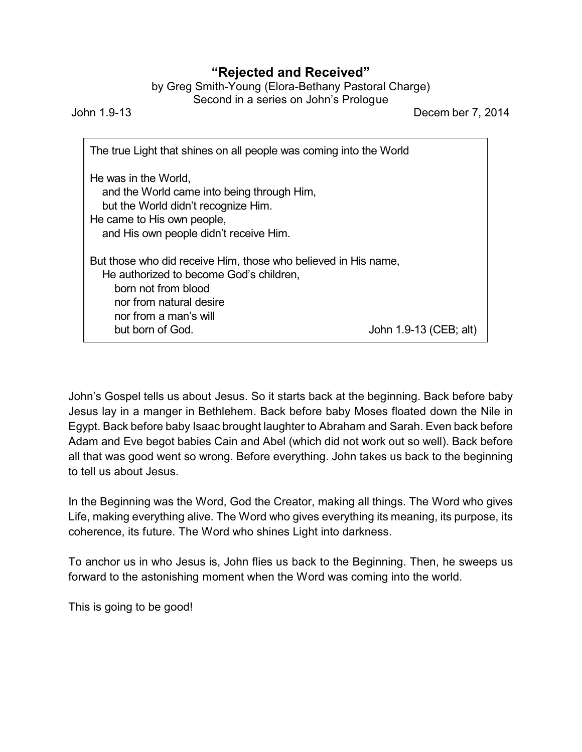## **"Rejected and Received"**

by Greg Smith-Young (Elora-Bethany Pastoral Charge) Second in a series on John's Prologue

John 1.9-13 Decem ber 7, 2014

| The true Light that shines on all people was coming into the World                                                                                                         |                        |
|----------------------------------------------------------------------------------------------------------------------------------------------------------------------------|------------------------|
| He was in the World.<br>and the World came into being through Him,<br>but the World didn't recognize Him.<br>He came to His own people,                                    |                        |
| and His own people didn't receive Him.<br>But those who did receive Him, those who believed in His name,<br>He authorized to become God's children,<br>born not from blood |                        |
| nor from natural desire<br>nor from a man's will<br>but born of God.                                                                                                       | John 1.9-13 (CEB; alt) |

John's Gospel tells us about Jesus. So it starts back at the beginning. Back before baby Jesus lay in a manger in Bethlehem. Back before baby Moses floated down the Nile in Egypt. Back before baby Isaac brought laughter to Abraham and Sarah. Even back before Adam and Eve begot babies Cain and Abel (which did not work out so well). Back before all that was good went so wrong. Before everything. John takes us back to the beginning to tell us about Jesus.

In the Beginning was the Word, God the Creator, making all things. The Word who gives Life, making everything alive. The Word who gives everything its meaning, its purpose, its coherence, its future. The Word who shines Light into darkness.

To anchor us in who Jesus is, John flies us back to the Beginning. Then, he sweeps us forward to the astonishing moment when the Word was coming into the world.

This is going to be good!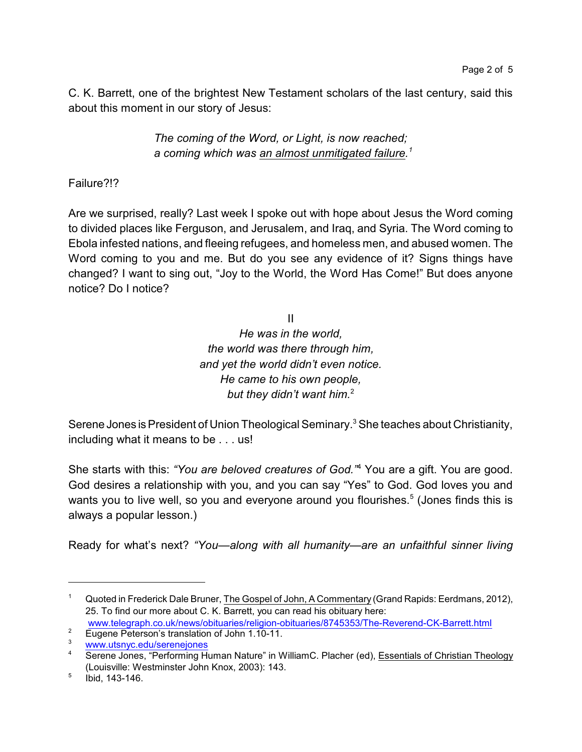C. K. Barrett, one of the brightest New Testament scholars of the last century, said this about this moment in our story of Jesus:

> *The coming of the Word, or Light, is now reached; a coming which was an almost unmitigated failure.<sup>1</sup>*

Failure?!?

Are we surprised, really? Last week I spoke out with hope about Jesus the Word coming to divided places like Ferguson, and Jerusalem, and Iraq, and Syria. The Word coming to Ebola infested nations, and fleeing refugees, and homeless men, and abused women. The Word coming to you and me. But do you see any evidence of it? Signs things have changed? I want to sing out, "Joy to the World, the Word Has Come!" But does anyone notice? Do I notice?

> II *He was in the world, the world was there through him, and yet the world didn't even notice. He came to his own people, but they didn't want him.* 2

Serene Jones is President of Union Theological Seminary.<sup>3</sup> She teaches about Christianity, including what it means to be . . . us!

She starts with this: *"You are beloved creatures of God."*<sup>4</sup> You are a gift. You are good. God desires a relationship with you, and you can say "Yes" to God. God loves you and wants you to live well, so you and everyone around you flourishes.<sup>5</sup> (Jones finds this is always a popular lesson.)

Ready for what's next? *"You—along with all humanity—are an unfaithful sinner living*

Quoted in Frederick Dale Bruner, The Gospel of John, A Commentary (Grand Rapids: Eerdmans, 2012), 25. To find our more about C. K. Barrett, you can read his obituary here: [www.telegraph.co.uk/news/obituaries/religion-obituaries/8745353/The-Reverend-CK-Barrett.html](http://www.telegraph.co.uk/news/obituaries/religion-obituaries/8745353/The-Reverend-CK-Barrett.html%20)

<sup>&</sup>lt;sup>2</sup> Eugene Peterson's translation of John 1.10-11.

[www.utsnyc.edu/serenejones](http://www.utsnyc.edu/serenejones)

<sup>&</sup>lt;sup>4</sup> Serene Jones, "Performing Human Nature" in WilliamC. Placher (ed), Essentials of Christian Theology (Louisville: Westminster John Knox, 2003): 143.

<sup>5</sup> Ibid, 143-146.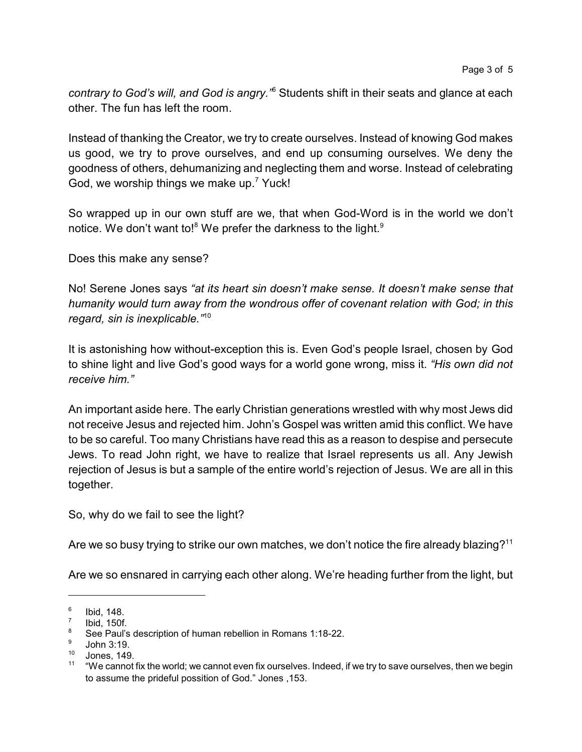*contrary to God's will, and God is angry."*<sup>6</sup> Students shift in their seats and glance at each other. The fun has left the room.

Instead of thanking the Creator, we try to create ourselves. Instead of knowing God makes us good, we try to prove ourselves, and end up consuming ourselves. We deny the goodness of others, dehumanizing and neglecting them and worse. Instead of celebrating God, we worship things we make up.<sup>7</sup> Yuck!

So wrapped up in our own stuff are we, that when God-Word is in the world we don't notice. We don't want to! $^8$  We prefer the darkness to the light. $^9$ 

Does this make any sense?

No! Serene Jones says *"at its heart sin doesn't make sense. It doesn't make sense that humanity would turn away from the wondrous offer of covenant relation with God; in this regard, sin is inexplicable."*<sup>10</sup>

It is astonishing how without-exception this is. Even God's people Israel, chosen by God to shine light and live God's good ways for a world gone wrong, miss it. *"His own did not receive him."*

An important aside here. The early Christian generations wrestled with why most Jews did not receive Jesus and rejected him. John's Gospel was written amid this conflict. We have to be so careful. Too many Christians have read this as a reason to despise and persecute Jews. To read John right, we have to realize that Israel represents us all. Any Jewish rejection of Jesus is but a sample of the entire world's rejection of Jesus. We are all in this together.

So, why do we fail to see the light?

Are we so busy trying to strike our own matches, we don't notice the fire already blazing? $^{11}$ 

Are we so ensnared in carrying each other along. We're heading further from the light, but

<sup>6</sup> Ibid, 148.

<sup>7</sup> Ibid, 150f.

<sup>&</sup>lt;sup>8</sup> See Paul's description of human rebellion in Romans 1:18-22.

<sup>9</sup> John 3:19.

<sup>10</sup> Jones, 149.

<sup>&</sup>lt;sup>11</sup> "We cannot fix the world; we cannot even fix ourselves. Indeed, if we try to save ourselves, then we begin to assume the prideful possition of God." Jones ,153.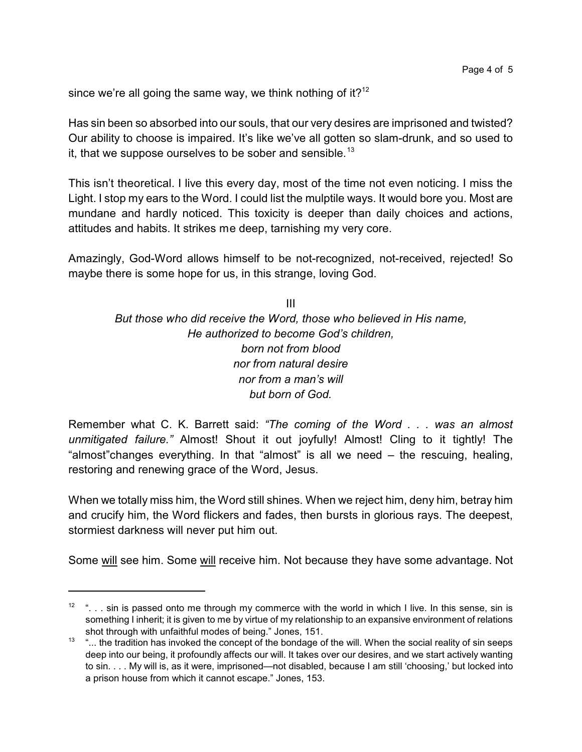since we're all going the same way, we think nothing of it? $12$ 

Has sin been so absorbed into our souls, that our very desires are imprisoned and twisted? Our ability to choose is impaired. It's like we've all gotten so slam-drunk, and so used to it, that we suppose ourselves to be sober and sensible.<sup>13</sup>

This isn't theoretical. I live this every day, most of the time not even noticing. I miss the Light. I stop my ears to the Word. I could list the mulptile ways. It would bore you. Most are mundane and hardly noticed. This toxicity is deeper than daily choices and actions, attitudes and habits. It strikes me deep, tarnishing my very core.

Amazingly, God-Word allows himself to be not-recognized, not-received, rejected! So maybe there is some hope for us, in this strange, loving God.

III *But those who did receive the Word, those who believed in His name, He authorized to become God's children, born not from blood nor from natural desire nor from a man's will but born of God.*

Remember what C. K. Barrett said: *"The coming of the Word . . . was an almost unmitigated failure."* Almost! Shout it out joyfully! Almost! Cling to it tightly! The "almost"changes everything. In that "almost" is all we need – the rescuing, healing, restoring and renewing grace of the Word, Jesus.

When we totally miss him, the Word still shines. When we reject him, deny him, betray him and crucify him, the Word flickers and fades, then bursts in glorious rays. The deepest, stormiest darkness will never put him out.

Some will see him. Some will receive him. Not because they have some advantage. Not

 $12$  "... sin is passed onto me through my commerce with the world in which I live. In this sense, sin is something I inherit; it is given to me by virtue of my relationship to an expansive environment of relations shot through with unfaithful modes of being." Jones, 151.

<sup>13 &</sup>quot;... the tradition has invoked the concept of the bondage of the will. When the social reality of sin seeps deep into our being, it profoundly affects our will. It takes over our desires, and we start actively wanting to sin. . . . My will is, as it were, imprisoned—not disabled, because I am still 'choosing,' but locked into a prison house from which it cannot escape." Jones, 153.